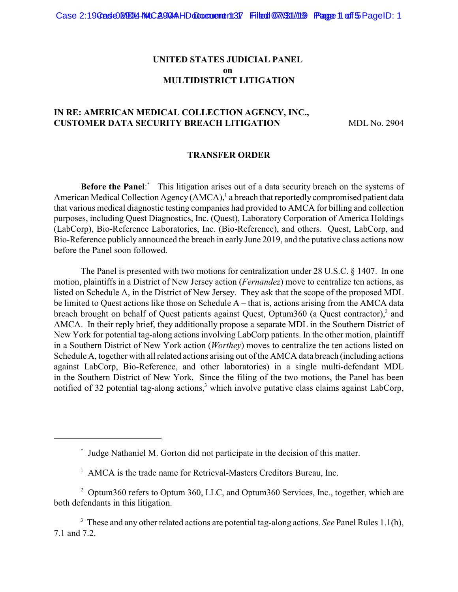## **UNITED STATES JUDICIAL PANEL on MULTIDISTRICT LITIGATION**

# **IN RE: AMERICAN MEDICAL COLLECTION AGENCY, INC., CUSTOMER DATA SECURITY BREACH LITIGATION** MDL No. 2904

#### **TRANSFER ORDER**

**Before the Panel:** This litigation arises out of a data security breach on the systems of American Medical Collection Agency (AMCA),<sup>1</sup> a breach that reportedly compromised patient data that various medical diagnostic testing companies had provided to AMCA for billing and collection purposes, including Quest Diagnostics, Inc. (Quest), Laboratory Corporation of America Holdings (LabCorp), Bio-Reference Laboratories, Inc. (Bio-Reference), and others. Quest, LabCorp, and Bio-Reference publicly announced the breach in early June 2019, and the putative class actions now before the Panel soon followed.

The Panel is presented with two motions for centralization under 28 U.S.C. § 1407. In one motion, plaintiffs in a District of New Jersey action (*Fernandez*) move to centralize ten actions, as listed on Schedule A, in the District of New Jersey. They ask that the scope of the proposed MDL be limited to Quest actions like those on Schedule A – that is, actions arising from the AMCA data breach brought on behalf of Quest patients against Quest, Optum360 (a Quest contractor), $2$  and AMCA. In their reply brief, they additionally propose a separate MDL in the Southern District of New York for potential tag-along actions involving LabCorp patients. In the other motion, plaintiff in a Southern District of New York action (*Worthey*) moves to centralize the ten actions listed on Schedule A, together with all related actions arising out of the AMCA data breach (including actions against LabCorp, Bio-Reference, and other laboratories) in a single multi-defendant MDL in the Southern District of New York. Since the filing of the two motions, the Panel has been notified of 32 potential tag-along actions,<sup>3</sup> which involve putative class claims against LabCorp,

Judge Nathaniel M. Gorton did not participate in the decision of this matter. \*

<sup>&</sup>lt;sup>1</sup> AMCA is the trade name for Retrieval-Masters Creditors Bureau, Inc.

 $^2$  Optum360 refers to Optum 360, LLC, and Optum360 Services, Inc., together, which are both defendants in this litigation.

<sup>&</sup>lt;sup>3</sup> These and any other related actions are potential tag-along actions. *See* Panel Rules 1.1(h), 7.1 and 7.2.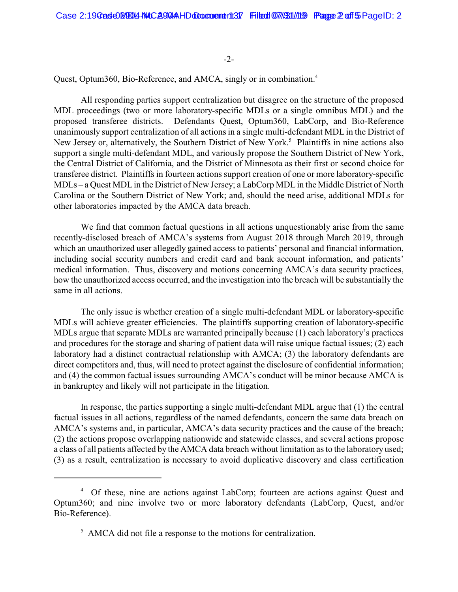-2-

Quest, Optum360, Bio-Reference, and AMCA, singly or in combination.<sup>4</sup>

All responding parties support centralization but disagree on the structure of the proposed MDL proceedings (two or more laboratory-specific MDLs or a single omnibus MDL) and the proposed transferee districts. Defendants Quest, Optum360, LabCorp, and Bio-Reference unanimously support centralization of all actions in a single multi-defendant MDL in the District of New Jersey or, alternatively, the Southern District of New York.<sup>5</sup> Plaintiffs in nine actions also support a single multi-defendant MDL, and variously propose the Southern District of New York, the Central District of California, and the District of Minnesota as their first or second choice for transferee district. Plaintiffs in fourteen actions support creation of one or more laboratory-specific MDLs – a Quest MDLin the District of New Jersey; a LabCorp MDLin the Middle District of North Carolina or the Southern District of New York; and, should the need arise, additional MDLs for other laboratories impacted by the AMCA data breach.

We find that common factual questions in all actions unquestionably arise from the same recently-disclosed breach of AMCA's systems from August 2018 through March 2019, through which an unauthorized user allegedly gained access to patients' personal and financial information, including social security numbers and credit card and bank account information, and patients' medical information. Thus, discovery and motions concerning AMCA's data security practices, how the unauthorized access occurred, and the investigation into the breach will be substantially the same in all actions.

The only issue is whether creation of a single multi-defendant MDL or laboratory-specific MDLs will achieve greater efficiencies. The plaintiffs supporting creation of laboratory-specific MDLs argue that separate MDLs are warranted principally because (1) each laboratory's practices and procedures for the storage and sharing of patient data will raise unique factual issues; (2) each laboratory had a distinct contractual relationship with AMCA; (3) the laboratory defendants are direct competitors and, thus, will need to protect against the disclosure of confidential information; and (4) the common factual issues surrounding AMCA's conduct will be minor because AMCA is in bankruptcy and likely will not participate in the litigation.

In response, the parties supporting a single multi-defendant MDL argue that (1) the central factual issues in all actions, regardless of the named defendants, concern the same data breach on AMCA's systems and, in particular, AMCA's data security practices and the cause of the breach; (2) the actions propose overlapping nationwide and statewide classes, and several actions propose a class of all patients affected by the AMCA data breach without limitation as to the laboratory used; (3) as a result, centralization is necessary to avoid duplicative discovery and class certification

<sup>&</sup>lt;sup>4</sup> Of these, nine are actions against LabCorp; fourteen are actions against Quest and Optum360; and nine involve two or more laboratory defendants (LabCorp, Quest, and/or Bio-Reference).

<sup>&</sup>lt;sup>5</sup> AMCA did not file a response to the motions for centralization.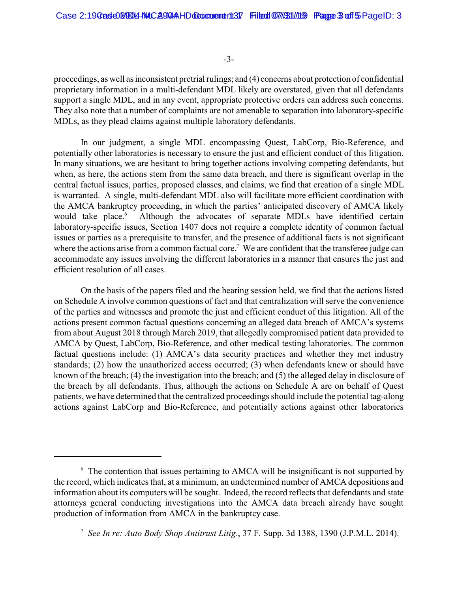-3-

proceedings, as well as inconsistent pretrial rulings; and (4) concerns about protection of confidential proprietary information in a multi-defendant MDL likely are overstated, given that all defendants support a single MDL, and in any event, appropriate protective orders can address such concerns. They also note that a number of complaints are not amenable to separation into laboratory-specific MDLs, as they plead claims against multiple laboratory defendants.

In our judgment, a single MDL encompassing Quest, LabCorp, Bio-Reference, and potentially other laboratories is necessary to ensure the just and efficient conduct of this litigation. In many situations, we are hesitant to bring together actions involving competing defendants, but when, as here, the actions stem from the same data breach, and there is significant overlap in the central factual issues, parties, proposed classes, and claims, we find that creation of a single MDL is warranted. A single, multi-defendant MDL also will facilitate more efficient coordination with the AMCA bankruptcy proceeding, in which the parties' anticipated discovery of AMCA likely would take place.<sup>6</sup> Although the advocates of separate MDLs have identified certain laboratory-specific issues, Section 1407 does not require a complete identity of common factual issues or parties as a prerequisite to transfer, and the presence of additional facts is not significant where the actions arise from a common factual core.<sup>7</sup> We are confident that the transferee judge can accommodate any issues involving the different laboratories in a manner that ensures the just and efficient resolution of all cases.

On the basis of the papers filed and the hearing session held, we find that the actions listed on Schedule A involve common questions of fact and that centralization will serve the convenience of the parties and witnesses and promote the just and efficient conduct of this litigation. All of the actions present common factual questions concerning an alleged data breach of AMCA's systems from about August 2018 through March 2019, that allegedly compromised patient data provided to AMCA by Quest, LabCorp, Bio-Reference, and other medical testing laboratories. The common factual questions include: (1) AMCA's data security practices and whether they met industry standards; (2) how the unauthorized access occurred; (3) when defendants knew or should have known of the breach; (4) the investigation into the breach; and (5) the alleged delay in disclosure of the breach by all defendants. Thus, although the actions on Schedule A are on behalf of Quest patients, we have determined that the centralized proceedings should include the potential tag-along actions against LabCorp and Bio-Reference, and potentially actions against other laboratories

 $6\degree$  The contention that issues pertaining to AMCA will be insignificant is not supported by the record, which indicates that, at a minimum, an undetermined number of AMCA depositions and information about its computers will be sought. Indeed, the record reflects that defendants and state attorneys general conducting investigations into the AMCA data breach already have sought production of information from AMCA in the bankruptcy case.

<sup>&</sup>lt;sup>7</sup> See In re: Auto Body Shop Antitrust Litig., 37 F. Supp. 3d 1388, 1390 (J.P.M.L. 2014).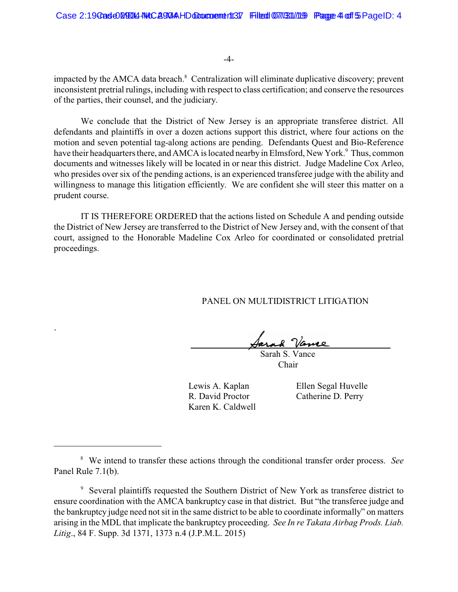-4-

impacted by the AMCA data breach.<sup>8</sup> Centralization will eliminate duplicative discovery; prevent inconsistent pretrial rulings, including with respect to class certification; and conserve the resources of the parties, their counsel, and the judiciary.

We conclude that the District of New Jersey is an appropriate transferee district. All defendants and plaintiffs in over a dozen actions support this district, where four actions on the motion and seven potential tag-along actions are pending. Defendants Quest and Bio-Reference have their headquarters there, and AMCA is located nearby in Elmsford, New York.<sup>9</sup> Thus, common documents and witnesses likely will be located in or near this district. Judge Madeline Cox Arleo, who presides over six of the pending actions, is an experienced transferee judge with the ability and willingness to manage this litigation efficiently. We are confident she will steer this matter on a prudent course.

IT IS THEREFORE ORDERED that the actions listed on Schedule A and pending outside the District of New Jersey are transferred to the District of New Jersey and, with the consent of that court, assigned to the Honorable Madeline Cox Arleo for coordinated or consolidated pretrial proceedings.

PANEL ON MULTIDISTRICT LITIGATION

Jarah Vance

 Sarah S. Vance Chair

Karen K. Caldwell

`

Lewis A. Kaplan Ellen Segal Huvelle R. David Proctor Catherine D. Perry

<sup>&</sup>lt;sup>8</sup> We intend to transfer these actions through the conditional transfer order process. *See* Panel Rule 7.1(b).

<sup>&</sup>lt;sup>9</sup> Several plaintiffs requested the Southern District of New York as transferee district to ensure coordination with the AMCA bankruptcy case in that district. But "the transferee judge and the bankruptcy judge need not sit in the same district to be able to coordinate informally" on matters arising in the MDL that implicate the bankruptcy proceeding. *See In re Takata Airbag Prods. Liab. Litig*., 84 F. Supp. 3d 1371, 1373 n.4 (J.P.M.L. 2015)